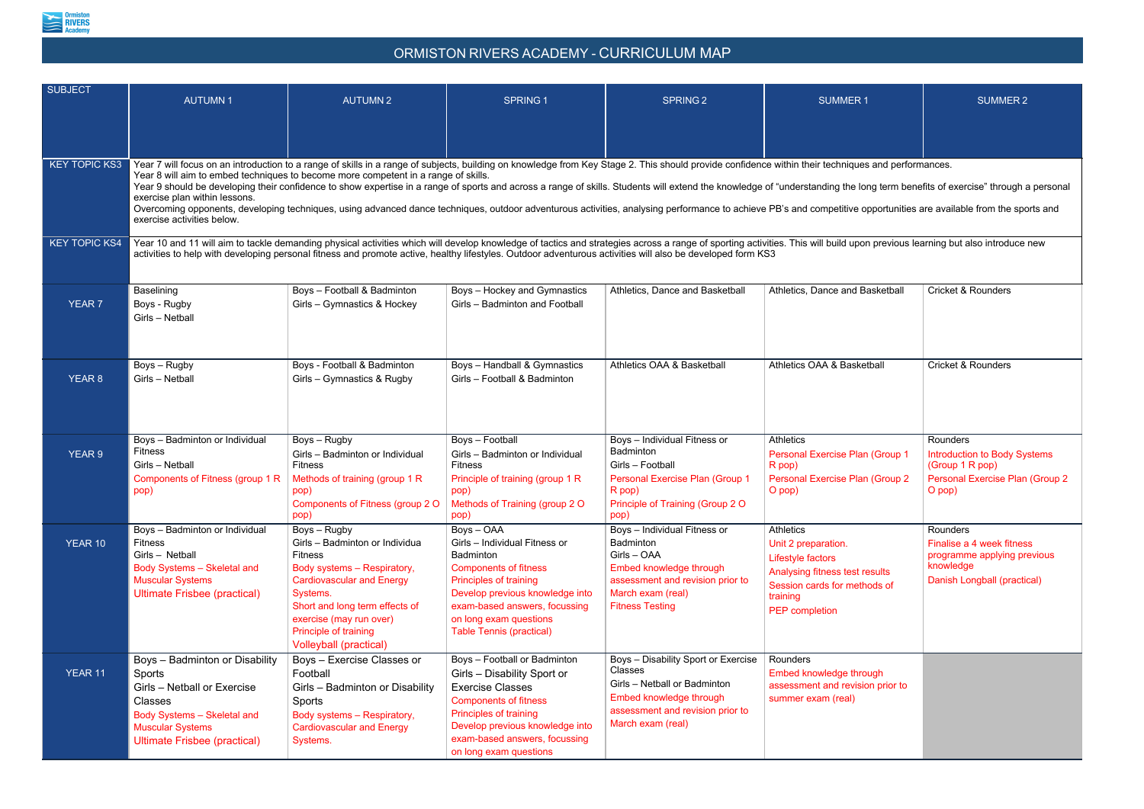

## ORMISTON RIVERS ACADEMY - CURRICULUM MAP

| <b>SUBJECT</b>       | <b>AUTUMN1</b>                                                                                                                                                                                                                                                                                                                                                                                                                                                                                                                                                                                                                                                                                                                                                                                                  | <b>AUTUMN2</b>                                                                                                                                                                                                                                                         | <b>SPRING 1</b>                                                                                                                                                                                                                                          | <b>SPRING 2</b>                                                                                                                                                               | <b>SUMMER1</b>                                                                                                                                                      | <b>SUMMER 2</b>                                                                                                  |  |  |  |  |
|----------------------|-----------------------------------------------------------------------------------------------------------------------------------------------------------------------------------------------------------------------------------------------------------------------------------------------------------------------------------------------------------------------------------------------------------------------------------------------------------------------------------------------------------------------------------------------------------------------------------------------------------------------------------------------------------------------------------------------------------------------------------------------------------------------------------------------------------------|------------------------------------------------------------------------------------------------------------------------------------------------------------------------------------------------------------------------------------------------------------------------|----------------------------------------------------------------------------------------------------------------------------------------------------------------------------------------------------------------------------------------------------------|-------------------------------------------------------------------------------------------------------------------------------------------------------------------------------|---------------------------------------------------------------------------------------------------------------------------------------------------------------------|------------------------------------------------------------------------------------------------------------------|--|--|--|--|
| <b>KEY TOPIC KS3</b> | Year 7 will focus on an introduction to a range of skills in a range of subjects, building on knowledge from Key Stage 2. This should provide confidence within their techniques and performances.<br>Year 8 will aim to embed techniques to become more competent in a range of skills.<br>Year 9 should be developing their confidence to show expertise in a range of sports and across a range of skills. Students will extend the knowledge of "understanding the long term benefits of exercise" through a personal<br>exercise plan within lessons.<br>Overcoming opponents, developing techniques, using advanced dance techniques, outdoor adventurous activities, analysing performance to achieve PB's and competitive opportunities are available from the sports and<br>exercise activities below. |                                                                                                                                                                                                                                                                        |                                                                                                                                                                                                                                                          |                                                                                                                                                                               |                                                                                                                                                                     |                                                                                                                  |  |  |  |  |
| <b>KEY TOPIC KS4</b> | Year 10 and 11 will aim to tackle demanding physical activities which will develop knowledge of tactics and strategies across a range of sporting activities. This will build upon previous learning but also introduce new<br>activities to help with developing personal fitness and promote active, healthy lifestyles. Outdoor adventurous activities will also be developed form KS3                                                                                                                                                                                                                                                                                                                                                                                                                       |                                                                                                                                                                                                                                                                        |                                                                                                                                                                                                                                                          |                                                                                                                                                                               |                                                                                                                                                                     |                                                                                                                  |  |  |  |  |
| <b>YEAR 7</b>        | Baselining<br>Boys - Rugby<br>Girls - Netball                                                                                                                                                                                                                                                                                                                                                                                                                                                                                                                                                                                                                                                                                                                                                                   | Boys - Football & Badminton<br>Girls - Gymnastics & Hockey                                                                                                                                                                                                             | Boys - Hockey and Gymnastics<br>Girls - Badminton and Football                                                                                                                                                                                           | Athletics, Dance and Basketball                                                                                                                                               | Athletics, Dance and Basketball                                                                                                                                     | <b>Cricket &amp; Rounders</b>                                                                                    |  |  |  |  |
| <b>YEAR 8</b>        | Boys - Rugby<br>Girls - Netball                                                                                                                                                                                                                                                                                                                                                                                                                                                                                                                                                                                                                                                                                                                                                                                 | Boys - Football & Badminton<br>Girls - Gymnastics & Rugby                                                                                                                                                                                                              | Boys - Handball & Gymnastics<br>Girls - Football & Badminton                                                                                                                                                                                             | Athletics OAA & Basketball                                                                                                                                                    | Athletics OAA & Basketball                                                                                                                                          | <b>Cricket &amp; Rounders</b>                                                                                    |  |  |  |  |
| <b>YEAR 9</b>        | Boys - Badminton or Individual<br><b>Fitness</b><br>Girls - Netball<br>Components of Fitness (group 1 R<br>pop)                                                                                                                                                                                                                                                                                                                                                                                                                                                                                                                                                                                                                                                                                                 | Boys - Rugby<br>Girls - Badminton or Individual<br><b>Fitness</b><br>Methods of training (group 1 R<br>pop)<br>Components of Fitness (group 2 O<br>pop)                                                                                                                | Boys - Football<br>Girls - Badminton or Individual<br><b>Fitness</b><br>Principle of training (group 1 R<br>pop)<br>Methods of Training (group 2 O<br>pop)                                                                                               | Boys - Individual Fitness or<br>Badminton<br>Girls - Football<br><b>Personal Exercise Plan (Group 1</b><br>$R$ pop)<br>Principle of Training (Group 2 O<br>(pop               | <b>Athletics</b><br>Personal Exercise Plan (Group 1<br>R pop)<br>Personal Exercise Plan (Group 2)<br>O pop)                                                         | Rounders<br><b>Introduction to Body Systems</b><br>(Group 1 R pop)<br>Personal Exercise Plan (Group 2)<br>O pop) |  |  |  |  |
| YEAR 10              | Boys - Badminton or Individual<br><b>Fitness</b><br>Girls - Netball<br>Body Systems - Skeletal and<br><b>Muscular Systems</b><br><b>Ultimate Frisbee (practical)</b>                                                                                                                                                                                                                                                                                                                                                                                                                                                                                                                                                                                                                                            | Boys - Rugby<br>Girls - Badminton or Individua<br><b>Fitness</b><br>Body systems - Respiratory,<br><b>Cardiovascular and Energy</b><br>Systems.<br>Short and long term effects of<br>exercise (may run over)<br>Principle of training<br><b>Volleyball (practical)</b> | Boys-OAA<br>Girls - Individual Fitness or<br>Badminton<br><b>Components of fitness</b><br><b>Principles of training</b><br>Develop previous knowledge into<br>exam-based answers, focussing<br>on long exam questions<br><b>Table Tennis (practical)</b> | Boys - Individual Fitness or<br><b>Badminton</b><br>Girls - OAA<br>Embed knowledge through<br>assessment and revision prior to<br>March exam (real)<br><b>Fitness Testing</b> | <b>Athletics</b><br>Unit 2 preparation.<br>Lifestyle factors<br>Analysing fitness test results<br>Session cards for methods of<br>training<br><b>PEP</b> completion | Rounders<br>Finalise a 4 week fitness<br>programme applying previous<br>knowledge<br>Danish Longball (practical) |  |  |  |  |
| YEAR 11              | Boys - Badminton or Disability<br>Sports<br>Girls - Netball or Exercise<br><b>Classes</b><br>Body Systems - Skeletal and<br><b>Muscular Systems</b><br><b>Ultimate Frisbee (practical)</b>                                                                                                                                                                                                                                                                                                                                                                                                                                                                                                                                                                                                                      | Boys - Exercise Classes or<br>Football<br>Girls - Badminton or Disability<br>Sports<br>Body systems - Respiratory,<br><b>Cardiovascular and Energy</b><br>Systems.                                                                                                     | Boys - Football or Badminton<br>Girls - Disability Sport or<br><b>Exercise Classes</b><br><b>Components of fitness</b><br><b>Principles of training</b><br>Develop previous knowledge into<br>exam-based answers, focussing<br>on long exam questions    | Boys - Disability Sport or Exercise<br>Classes<br>Girls - Netball or Badminton<br>Embed knowledge through<br>assessment and revision prior to<br>March exam (real)            | Rounders<br>Embed knowledge through<br>assessment and revision prior to<br>summer exam (real)                                                                       |                                                                                                                  |  |  |  |  |